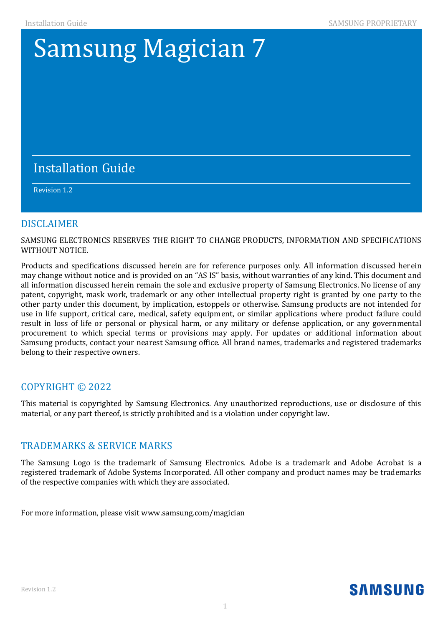## **Samsung Magician 7**

#### If you want to obtain the complete Corresponding Source code in the physical medium such as  $C$ performing source distribution may be charged. This information of this information of this information. This information of this information. This information is valid to any of this information. In this information. This

#### component License and License and License and License and License and License and License and License and License and License and License and License and License and License and License and License and License and License  $\mathcal{L}_{\mathcal{A}}$  , and  $\mathcal{L}_{\mathcal{A}}$  , and  $\mathcal{L}_{\mathcal{A}}$  , and  $\mathcal{L}_{\mathcal{A}}$  , and  $\mathcal{L}_{\mathcal{A}}$  , and  $\mathcal{L}_{\mathcal{A}}$  , and  $\mathcal{L}_{\mathcal{A}}$  , and Revision 1.2

#### **DISCLAIMER**

SAMSUNG ELECTRONICS RESERVES THE RIGHT TO CHANGE PRODUCTS, INFORMATION AND SPECIFICATIONS WITHOUT NOTICE.

Products and specifications discussed herein are for reference purposes only. All information discussed herein may change without notice and is provided on an "AS IS" basis, without warranties of any kind. This document and all information discussed herein remain the sole and exclusive property of Samsung Electronics. No license of any patent, copyright, mask work, trademark or any other intellectual property right is granted by one party to the other party under this document, by implication, estoppels or otherwise. Samsung products are not intended for use in life support, critical care, medical, safety equipment, or similar applications where product failure could result in loss of life or personal or physical harm, or any military or defense application, or any governmental procurement to which special terms or provisions may apply. For updates or additional information about Samsung products, contact your nearest Samsung office. All brand names, trademarks and registered trademarks belong to their respective owners.

#### COPYRIGHT © 2022

This material is copyrighted by Samsung Electronics. Any unauthorized reproductions, use or disclosure of this material, or any part thereof, is strictly prohibited and is a violation under copyright law.

#### TRADEMARKS & SERVICE MARKS

The Samsung Logo is the trademark of Samsung Electronics. Adobe is a trademark and Adobe Acrobat is a registered trademark of Adobe Systems Incorporated. All other company and product names may be trademarks of the respective companies with which they are associated.

For more information, please visit www.samsung.com/magician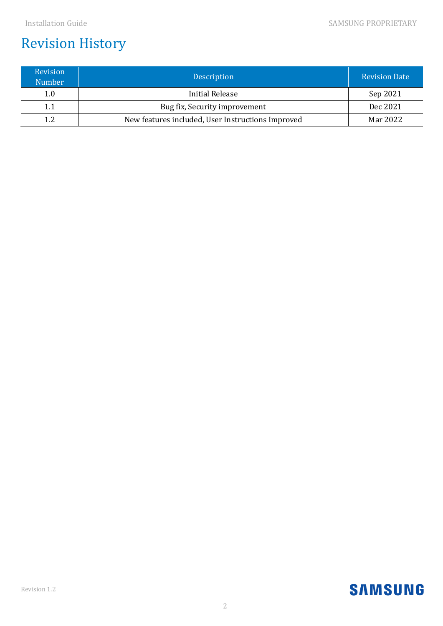## Revision History

| Revision<br><b>Number</b> | Description                                       | <b>Revision Date</b> |
|---------------------------|---------------------------------------------------|----------------------|
| 1.0                       | Initial Release                                   | Sep 2021             |
| 1.1                       | Bug fix, Security improvement                     | Dec 2021             |
| 12                        | New features included, User Instructions Improved | Mar 2022             |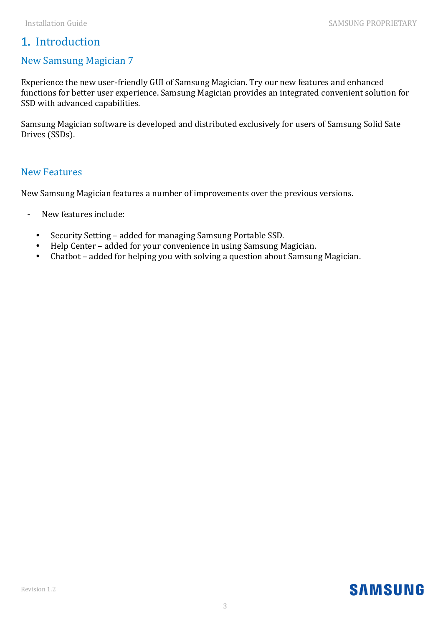#### 1. Introduction

#### New Samsung Magician 7

Experience the new user-friendly GUI of Samsung Magician. Try our new features and enhanced functions for better user experience. Samsung Magician provides an integrated convenient solution for SSD with advanced capabilities.

Samsung Magician software is developed and distributed exclusively for users of Samsung Solid Sate Drives (SSDs).

#### New Features

New Samsung Magician features a number of improvements over the previous versions.

- New features include:
	- Security Setting added for managing Samsung Portable SSD.
	- Help Center added for your convenience in using Samsung Magician.
	- Chatbot added for helping you with solving a question about Samsung Magician.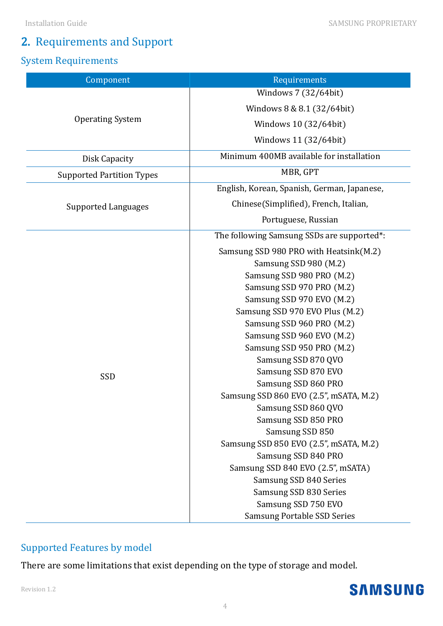#### Installation Guide SAMSUNG PROPRIETARY

## 2. Requirements and Support

#### System Requirements

| Component                        | Requirements                                |
|----------------------------------|---------------------------------------------|
|                                  | Windows 7 (32/64bit)                        |
|                                  | Windows 8 & 8.1 (32/64bit)                  |
| <b>Operating System</b>          | Windows 10 (32/64bit)                       |
|                                  | Windows 11 (32/64bit)                       |
| Disk Capacity                    | Minimum 400MB available for installation    |
| <b>Supported Partition Types</b> | MBR, GPT                                    |
|                                  | English, Korean, Spanish, German, Japanese, |
| <b>Supported Languages</b>       | Chinese(Simplified), French, Italian,       |
|                                  | Portuguese, Russian                         |
|                                  | The following Samsung SSDs are supported*:  |
|                                  | Samsung SSD 980 PRO with Heatsink(M.2)      |
|                                  | Samsung SSD 980 (M.2)                       |
|                                  | Samsung SSD 980 PRO (M.2)                   |
|                                  | Samsung SSD 970 PRO (M.2)                   |
|                                  | Samsung SSD 970 EVO (M.2)                   |
|                                  | Samsung SSD 970 EVO Plus (M.2)              |
|                                  | Samsung SSD 960 PRO (M.2)                   |
|                                  | Samsung SSD 960 EVO (M.2)                   |
|                                  | Samsung SSD 950 PRO (M.2)                   |
|                                  | Samsung SSD 870 QVO                         |
|                                  | Samsung SSD 870 EVO                         |
| SSD                              | Samsung SSD 860 PRO                         |
|                                  | Samsung SSD 860 EVO (2.5", mSATA, M.2)      |
|                                  | Samsung SSD 860 QVO                         |
|                                  | Samsung SSD 850 PRO                         |
|                                  | Samsung SSD 850                             |
|                                  | Samsung SSD 850 EVO (2.5", mSATA, M.2)      |
|                                  | Samsung SSD 840 PRO                         |
|                                  | Samsung SSD 840 EVO (2.5", mSATA)           |
|                                  | Samsung SSD 840 Series                      |
|                                  | Samsung SSD 830 Series                      |
|                                  | Samsung SSD 750 EVO                         |
|                                  | <b>Samsung Portable SSD Series</b>          |
|                                  |                                             |

#### Supported Features by model

There are some limitations that exist depending on the type of storage and model.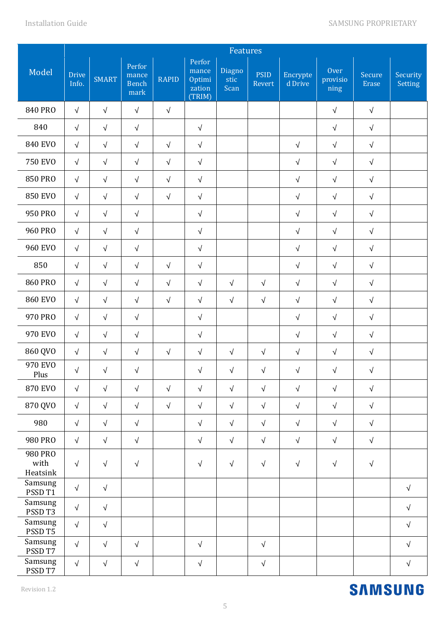|                             |                       | Features     |                                         |              |                                               |                        |                       |                     |                          |                        |                            |
|-----------------------------|-----------------------|--------------|-----------------------------------------|--------------|-----------------------------------------------|------------------------|-----------------------|---------------------|--------------------------|------------------------|----------------------------|
| Model                       | <b>Drive</b><br>Info. | <b>SMART</b> | Perfor<br>mance<br><b>Bench</b><br>mark | <b>RAPID</b> | Perfor<br>mance<br>Optimi<br>zation<br>(TRIM) | Diagno<br>stic<br>Scan | <b>PSID</b><br>Revert | Encrypte<br>d Drive | Over<br>provisio<br>ning | Secure<br><b>Erase</b> | Security<br><b>Setting</b> |
| <b>840 PRO</b>              | $\sqrt{}$             | $\sqrt{ }$   | $\sqrt{ }$                              | $\sqrt{ }$   |                                               |                        |                       |                     | $\sqrt{ }$               | $\sqrt{ }$             |                            |
| 840                         | $\sqrt{}$             | $\sqrt{}$    | $\sqrt{ }$                              |              | $\sqrt{}$                                     |                        |                       |                     | $\sqrt{ }$               | $\sqrt{ }$             |                            |
| <b>840 EVO</b>              | $\sqrt{ }$            | $\sqrt{ }$   | $\sqrt{ }$                              | $\sqrt{ }$   | $\sqrt{}$                                     |                        |                       | $\sqrt{ }$          | $\sqrt{}$                | $\sqrt{ }$             |                            |
| <b>750 EVO</b>              | $\sqrt{ }$            | $\sqrt{ }$   | $\sqrt{ }$                              | $\sqrt{ }$   | $\sqrt{}$                                     |                        |                       | $\sqrt{ }$          | $\sqrt{}$                | $\sqrt{ }$             |                            |
| <b>850 PRO</b>              | $\sqrt{ }$            | $\sqrt{ }$   | $\sqrt{ }$                              | $\sqrt{ }$   | $\sqrt{ }$                                    |                        |                       | $\sqrt{ }$          | $\sqrt{}$                | $\sqrt{ }$             |                            |
| <b>850 EVO</b>              | $\sqrt{ }$            | $\sqrt{}$    | $\sqrt{ }$                              | $\sqrt{ }$   | $\sqrt{ }$                                    |                        |                       | $\sqrt{}$           | $\sqrt{}$                | $\sqrt{ }$             |                            |
| 950 PRO                     | $\sqrt{ }$            | $\sqrt{}$    | $\sqrt{}$                               |              | $\sqrt{ }$                                    |                        |                       | $\sqrt{}$           | $\sqrt{ }$               | $\sqrt{}$              |                            |
| <b>960 PRO</b>              | $\sqrt{ }$            | $\sqrt{}$    | $\sqrt{ }$                              |              | $\sqrt{ }$                                    |                        |                       | $\sqrt{ }$          | $\sqrt{ }$               | $\sqrt{}$              |                            |
| <b>960 EVO</b>              | $\sqrt{}$             | $\sqrt{}$    | $\sqrt{ }$                              |              | $\sqrt{}$                                     |                        |                       | $\sqrt{ }$          | $\sqrt{}$                | $\sqrt{ }$             |                            |
| 850                         | $\sqrt{}$             | $\sqrt{}$    | $\sqrt{ }$                              | $\sqrt{ }$   | $\sqrt{}$                                     |                        |                       | $\sqrt{ }$          | $\sqrt{}$                | $\sqrt{ }$             |                            |
| <b>860 PRO</b>              | $\sqrt{ }$            | $\sqrt{}$    | $\sqrt{ }$                              | $\sqrt{}$    | $\sqrt{}$                                     | $\sqrt{ }$             | $\sqrt{ }$            | $\sqrt{ }$          | $\sqrt{}$                | $\sqrt{ }$             |                            |
| <b>860 EVO</b>              | $\sqrt{}$             | $\sqrt{ }$   | $\sqrt{ }$                              | $\sqrt{ }$   | $\sqrt{}$                                     | $\sqrt{ }$             | $\sqrt{ }$            | $\sqrt{ }$          | $\sqrt{}$                | $\sqrt{ }$             |                            |
| 970 PRO                     | $\sqrt{ }$            | $\sqrt{ }$   | $\sqrt{ }$                              |              | $\sqrt{ }$                                    |                        |                       | $\sqrt{ }$          | $\sqrt{ }$               | $\sqrt{ }$             |                            |
| 970 EVO                     | $\sqrt{}$             | $\sqrt{}$    | $\sqrt{ }$                              |              | $\sqrt{ }$                                    |                        |                       | $\sqrt{ }$          | $\sqrt{}$                | $\sqrt{}$              |                            |
| 860 QVO                     | $\sqrt{ }$            | $\sqrt{}$    | $\sqrt{ }$                              | $\sqrt{ }$   | $\sqrt{ }$                                    | $\sqrt{ }$             | $\sqrt{}$             | $\sqrt{}$           | $\sqrt{ }$               | $\sqrt{ }$             |                            |
| 970 EVO<br>Plus             | $\sqrt{}$             | $\sqrt{}$    | $\sqrt{ }$                              |              | $\sqrt{ }$                                    | $\sqrt{ }$             | $\sqrt{}$             | $\sqrt{}$           | $\sqrt{ }$               | $\sqrt{ }$             |                            |
| <b>870 EVO</b>              | $\sqrt{ }$            | $\sqrt{}$    | $\sqrt{ }$                              | $\sqrt{ }$   | $\sqrt{}$                                     | $\sqrt{ }$             | $\sqrt{ }$            | $\sqrt{ }$          | $\sqrt{ }$               | $\sqrt{ }$             |                            |
| 870 QVO                     | $\sqrt{ }$            | $\sqrt{}$    | $\sqrt{}$                               | $\sqrt{ }$   | $\sqrt{ }$                                    | $\sqrt{ }$             | $\sqrt{ }$            | $\sqrt{ }$          | $\sqrt{ }$               | $\sqrt{}$              |                            |
| 980                         | $\sqrt{}$             | $\sqrt{ }$   | $\sqrt{ }$                              |              | $\sqrt{}$                                     | $\sqrt{ }$             | $\sqrt{ }$            | $\sqrt{ }$          | $\sqrt{ }$               | $\sqrt{ }$             |                            |
| 980 PRO                     | $\sqrt{}$             | $\sqrt{ }$   | $\sqrt{}$                               |              | $\sqrt{}$                                     | $\sqrt{ }$             | $\sqrt{ }$            | $\sqrt{}$           | $\sqrt{ }$               | $\sqrt{}$              |                            |
| 980 PRO<br>with<br>Heatsink | $\sqrt{}$             | $\sqrt{ }$   | $\sqrt{ }$                              |              | $\sqrt{ }$                                    | $\sqrt{ }$             | $\sqrt{ }$            | $\sqrt{ }$          | $\sqrt{ }$               | $\sqrt{ }$             |                            |
| Samsung<br>PSSD T1          | $\sqrt{}$             | $\sqrt{}$    |                                         |              |                                               |                        |                       |                     |                          |                        | $\sqrt{ }$                 |
| Samsung<br>PSSD T3          | $\sqrt{ }$            | $\sqrt{}$    |                                         |              |                                               |                        |                       |                     |                          |                        | $\sqrt{ }$                 |
| Samsung<br>PSSD T5          | $\sqrt{ }$            | $\sqrt{}$    |                                         |              |                                               |                        |                       |                     |                          |                        | $\sqrt{ }$                 |
| Samsung<br>PSSD T7          | $\sqrt{ }$            | $\sqrt{}$    | $\sqrt{ }$                              |              | $\sqrt{}$                                     |                        | $\sqrt{}$             |                     |                          |                        | $\sqrt{ }$                 |
| Samsung<br>PSSD T7          | $\sqrt{ }$            | $\sqrt{}$    | $\sqrt{}$                               |              | $\sqrt{ }$                                    |                        | $\sqrt{}$             |                     |                          |                        | $\sqrt{\phantom{a}}$       |

#### Revision 1.2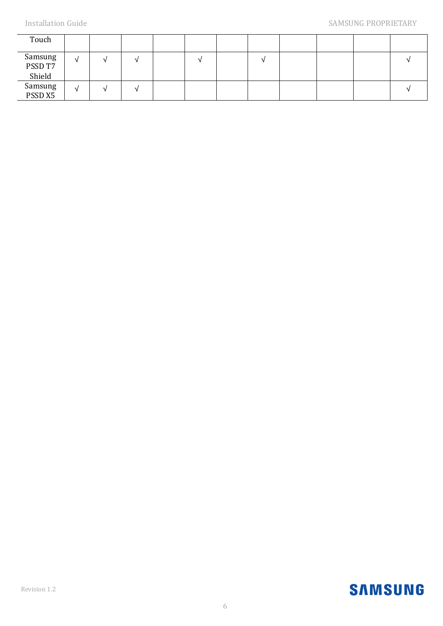| Touch                        |            |  |  |  |  |  |
|------------------------------|------------|--|--|--|--|--|
| Samsung<br>PSSD T7<br>Shield | N          |  |  |  |  |  |
| Samsung<br>PSSD X5           | $\sqrt{ }$ |  |  |  |  |  |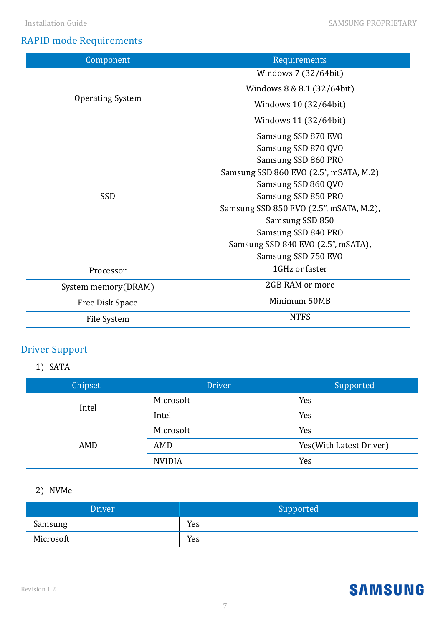### RAPID mode Requirements

| Component               | Requirements                            |  |  |  |
|-------------------------|-----------------------------------------|--|--|--|
|                         | Windows 7 (32/64bit)                    |  |  |  |
|                         | Windows 8 & 8.1 (32/64bit)              |  |  |  |
| <b>Operating System</b> | Windows 10 (32/64bit)                   |  |  |  |
|                         | Windows 11 (32/64bit)                   |  |  |  |
|                         | Samsung SSD 870 EVO                     |  |  |  |
|                         | Samsung SSD 870 QVO                     |  |  |  |
|                         | Samsung SSD 860 PRO                     |  |  |  |
|                         | Samsung SSD 860 EVO (2.5", mSATA, M.2)  |  |  |  |
|                         | Samsung SSD 860 QVO                     |  |  |  |
| SSD                     | Samsung SSD 850 PRO                     |  |  |  |
|                         | Samsung SSD 850 EVO (2.5", mSATA, M.2), |  |  |  |
|                         | Samsung SSD 850                         |  |  |  |
|                         | Samsung SSD 840 PRO                     |  |  |  |
|                         | Samsung SSD 840 EVO (2.5", mSATA),      |  |  |  |
|                         | Samsung SSD 750 EVO                     |  |  |  |
| Processor               | 1GHz or faster                          |  |  |  |
| System memory(DRAM)     | 2GB RAM or more                         |  |  |  |
| Free Disk Space         | Minimum 50MB                            |  |  |  |
| File System             | <b>NTFS</b>                             |  |  |  |

## Driver Support

#### 1) SATA

| Chipset | <b>Driver</b> | Supported                |
|---------|---------------|--------------------------|
| Intel   | Microsoft     | Yes                      |
|         | Intel         | Yes                      |
|         | Microsoft     | Yes                      |
| AMD     | AMD           | Yes (With Latest Driver) |
|         | <b>NVIDIA</b> | Yes                      |

#### 2) NVMe

| <b>Driver</b> | Supported |
|---------------|-----------|
| Samsung       | Yes       |
| Microsoft     | Yes       |

#### Revision 1.2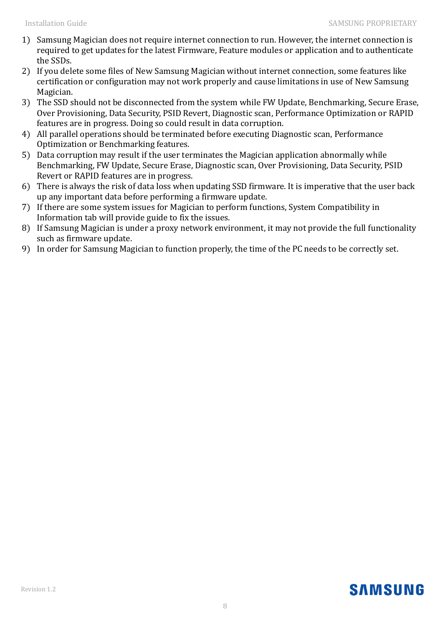- 1) Samsung Magician does not require internet connection to run. However, the internet connection is required to get updates for the latest Firmware, Feature modules or application and to authenticate the SSDs.
- 2) If you delete some files of New Samsung Magician without internet connection, some features like certification or configuration may not work properly and cause limitations in use of New Samsung Magician.
- 3) The SSD should not be disconnected from the system while FW Update, Benchmarking, Secure Erase, Over Provisioning, Data Security, PSID Revert, Diagnostic scan, Performance Optimization or RAPID features are in progress. Doing so could result in data corruption.
- 4) All parallel operations should be terminated before executing Diagnostic scan, Performance Optimization or Benchmarking features.
- 5) Data corruption may result if the user terminates the Magician application abnormally while Benchmarking, FW Update, Secure Erase, Diagnostic scan, Over Provisioning, Data Security, PSID Revert or RAPID features are in progress.
- 6) There is always the risk of data loss when updating SSD firmware. It is imperative that the user back up any important data before performing a firmware update.
- 7) If there are some system issues for Magician to perform functions, System Compatibility in Information tab will provide guide to fix the issues.
- 8) If Samsung Magician is under a proxy network environment, it may not provide the full functionality such as firmware update.
- 9) In order for Samsung Magician to function properly, the time of the PC needs to be correctly set.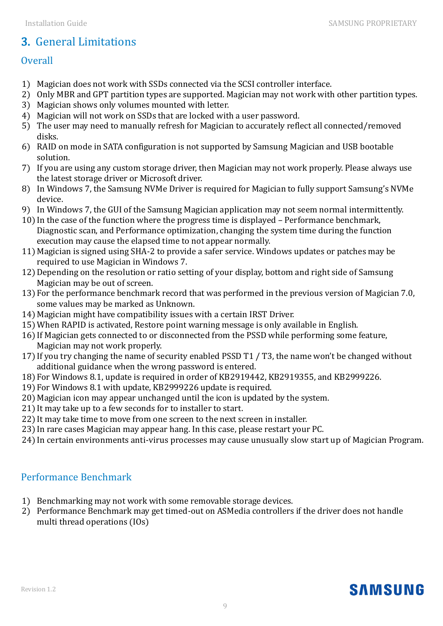## 3. General Limitations

#### **Overall**

- 1) Magician does not work with SSDs connected via the SCSI controller interface.
- 2) Only MBR and GPT partition types are supported. Magician may not work with other partition types.
- 3) Magician shows only volumes mounted with letter.
- 4) Magician will not work on SSDs that are locked with a user password.
- 5) The user may need to manually refresh for Magician to accurately reflect all connected/removed disks.
- 6) RAID on mode in SATA configuration is not supported by Samsung Magician and USB bootable solution.
- 7) If you are using any custom storage driver, then Magician may not work properly. Please always use the latest storage driver or Microsoft driver.
- 8) In Windows 7, the Samsung NVMe Driver is required for Magician to fully support Samsung's NVMe device.
- 9) In Windows 7, the GUI of the Samsung Magician application may not seem normal intermittently.
- 10) In the case of the function where the progress time is displayed Performance benchmark, Diagnostic scan, and Performance optimization, changing the system time during the function execution may cause the elapsed time to not appear normally.
- 11) Magician is signed using SHA-2 to provide a safer service. Windows updates or patches may be required to use Magician in Windows 7.
- 12)Depending on the resolution or ratio setting of your display, bottom and right side of Samsung Magician may be out of screen.
- 13) For the performance benchmark record that was performed in the previous version of Magician 7.0, some values may be marked as Unknown.
- 14) Magician might have compatibility issues with a certain IRST Driver.
- 15)When RAPID is activated, Restore point warning message is only available in English.
- 16) If Magician gets connected to or disconnected from the PSSD while performing some feature, Magician may not work properly.
- 17) If you try changing the name of security enabled PSSD T1 / T3, the name won't be changed without additional guidance when the wrong password is entered.
- 18) For Windows 8.1, update is required in order of KB2919442, KB2919355, and KB2999226.
- 19) For Windows 8.1 with update, KB2999226 update is required.
- 20) Magician icon may appear unchanged until the icon is updated by the system.
- 21) It may take up to a few seconds for to installer to start.
- 22) It may take time to move from one screen to the next screen in installer.
- 23) In rare cases Magician may appear hang. In this case, please restart your PC.
- 24) In certain environments anti-virus processes may cause unusually slow start up of Magician Program.

#### Performance Benchmark

- 1) Benchmarking may not work with some removable storage devices.
- 2) Performance Benchmark may get timed-out on ASMedia controllers if the driver does not handle multi thread operations (IOs)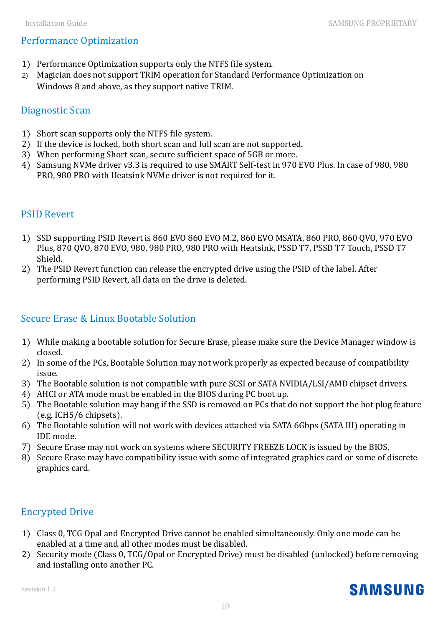#### Performance Optimization

- 1) Performance Optimization supports only the NTFS file system.
- 2) Magician does not support TRIM operation for Standard Performance Optimization on Windows 8 and above, as they support native TRIM.

#### Diagnostic Scan

- 1) Short scan supports only the NTFS file system.
- 2) If the device is locked, both short scan and full scan are not supported.
- 3) When performing Short scan, secure sufficient space of 5GB or more.
- 4) Samsung NVMe driver v3.3 is required to use SMART Self-test in 970 EVO Plus. In case of 980, 980 PRO, 980 PRO with Heatsink NVMe driver is not required for it.

#### PSID Revert

- 1) SSD supporting PSID Revert is 860 EVO 860 EVO M.2, 860 EVO MSATA, 860 PRO, 860 QVO, 970 EVO Plus, 870 QVO, 870 EVO, 980, 980 PRO, 980 PRO with Heatsink, PSSD T7, PSSD T7 Touch, PSSD T7 Shield.
- 2) The PSID Revert function can release the encrypted drive using the PSID of the label. After performing PSID Revert, all data on the drive is deleted.

#### Secure Erase & Linux Bootable Solution

- 1) While making a bootable solution for Secure Erase, please make sure the Device Manager window is closed.
- 2) In some of the PCs, Bootable Solution may not work properly as expected because of compatibility issue.
- 3) The Bootable solution is not compatible with pure SCSI or SATA NVIDIA/LSI/AMD chipset drivers.
- 4) AHCI or ATA mode must be enabled in the BIOS during PC boot up.
- 5) The Bootable solution may hang if the SSD is removed on PCs that do not support the hot plug feature (e.g. ICH5/6 chipsets).
- 6) The Bootable solution will not work with devices attached via SATA 6Gbps (SATA III) operating in IDE mode.
- 7) Secure Erase may not work on systems where SECURITY FREEZE LOCK is issued by the BIOS.
- 8) Secure Erase may have compatibility issue with some of integrated graphics card or some of discrete graphics card.

#### Encrypted Drive

- 1) Class 0, TCG Opal and Encrypted Drive cannot be enabled simultaneously. Only one mode can be enabled at a time and all other modes must be disabled.
- 2) Security mode (Class 0, TCG/Opal or Encrypted Drive) must be disabled (unlocked) before removing and installing onto another PC.

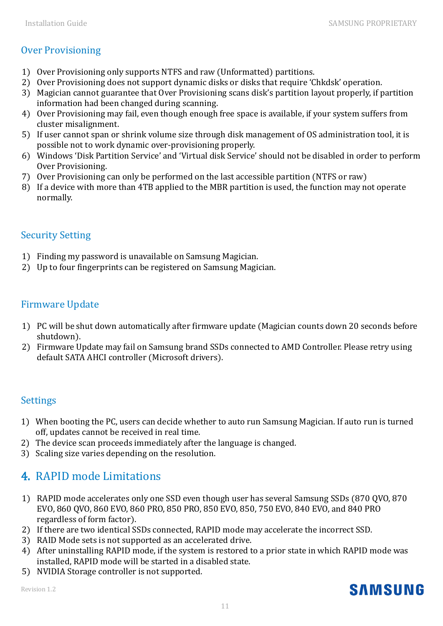#### Over Provisioning

- 1) Over Provisioning only supports NTFS and raw (Unformatted) partitions.
- 2) Over Provisioning does not support dynamic disks or disks that require 'Chkdsk' operation.
- 3) Magician cannot guarantee that Over Provisioning scans disk's partition layout properly, if partition information had been changed during scanning.
- 4) Over Provisioning may fail, even though enough free space is available, if your system suffers from cluster misalignment.
- 5) If user cannot span or shrink volume size through disk management of OS administration tool, it is possible not to work dynamic over-provisioning properly.
- 6) Windows 'Disk Partition Service' and 'Virtual disk Service' should not be disabled in order to perform Over Provisioning.
- 7) Over Provisioning can only be performed on the last accessible partition (NTFS or raw)
- 8) If a device with more than 4TB applied to the MBR partition is used, the function may not operate normally.

#### Security Setting

- 1) Finding my password is unavailable on Samsung Magician.
- 2) Up to four fingerprints can be registered on Samsung Magician.

#### Firmware Update

- 1) PC will be shut down automatically after firmware update (Magician counts down 20 seconds before shutdown).
- 2) Firmware Update may fail on Samsung brand SSDs connected to AMD Controller. Please retry using default SATA AHCI controller (Microsoft drivers).

#### **Settings**

- 1) When booting the PC, users can decide whether to auto run Samsung Magician. If auto run is turned off, updates cannot be received in real time.
- 2) The device scan proceeds immediately after the language is changed.
- 3) Scaling size varies depending on the resolution.

## 4. RAPID mode Limitations

- 1) RAPID mode accelerates only one SSD even though user has several Samsung SSDs (870 QVO, 870 EVO, 860 QVO, 860 EVO, 860 PRO, 850 PRO, 850 EVO, 850, 750 EVO, 840 EVO, and 840 PRO regardless of form factor).
- 2) If there are two identical SSDs connected, RAPID mode may accelerate the incorrect SSD.
- 3) RAID Mode sets is not supported as an accelerated drive.
- 4) After uninstalling RAPID mode, if the system is restored to a prior state in which RAPID mode was installed, RAPID mode will be started in a disabled state.
- 5) NVIDIA Storage controller is not supported.

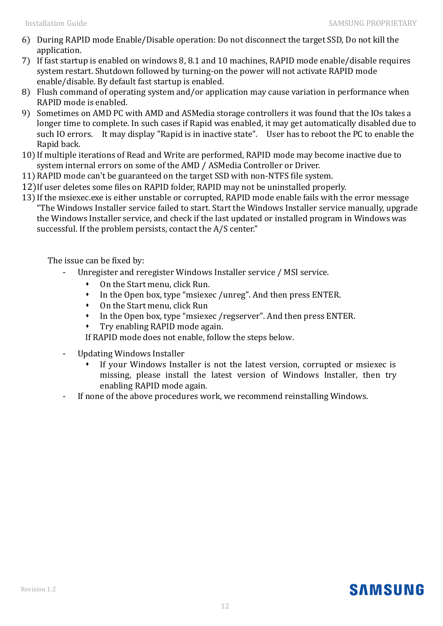- 6) During RAPID mode Enable/Disable operation: Do not disconnect the target SSD, Do not kill the application.
- 7) If fast startup is enabled on windows 8, 8.1 and 10 machines, RAPID mode enable/disable requires system restart. Shutdown followed by turning-on the power will not activate RAPID mode enable/disable. By default fast startup is enabled.
- 8) Flush command of operating system and/or application may cause variation in performance when RAPID mode is enabled.
- 9) Sometimes on AMD PC with AMD and ASMedia storage controllers it was found that the IOs takes a longer time to complete. In such cases if Rapid was enabled, it may get automatically disabled due to such IO errors. It may display "Rapid is in inactive state". User has to reboot the PC to enable the Rapid back.
- 10) If multiple iterations of Read and Write are performed, RAPID mode may become inactive due to system internal errors on some of the AMD / ASMedia Controller or Driver.
- 11)RAPID mode can't be guaranteed on the target SSD with non-NTFS file system.
- 12)If user deletes some files on RAPID folder, RAPID may not be uninstalled properly.
- 13) If the msiexec.exe is either unstable or corrupted, RAPID mode enable fails with the error message "The Windows Installer service failed to start. Start the Windows Installer service manually, upgrade the Windows Installer service, and check if the last updated or installed program in Windows was successful. If the problem persists, contact the A/S center."

The issue can be fixed by:

- Unregister and reregister Windows Installer service / MSI service.
	- On the Start menu, click Run.
	- In the Open box, type "msiexec /unreg". And then press ENTER.
	- On the Start menu, click Run
	- In the Open box, type "msiexec /regserver". And then press ENTER.
	- Try enabling RAPID mode again.

If RAPID mode does not enable, follow the steps below.

- Updating Windows Installer
	- If your Windows Installer is not the latest version, corrupted or msiexec is missing, please install the latest version of Windows Installer, then try enabling RAPID mode again.
- If none of the above procedures work, we recommend reinstalling Windows.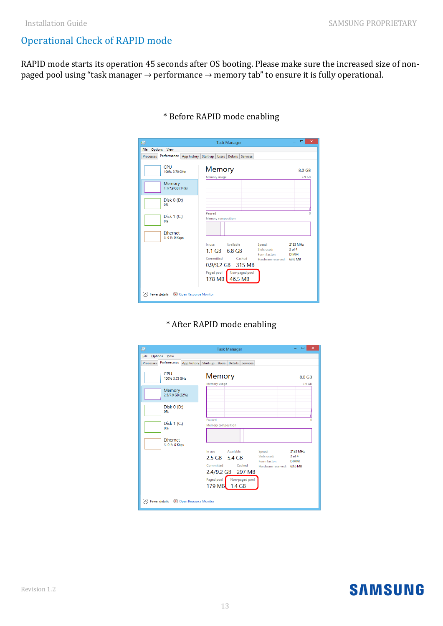#### Operational Check of RAPID mode

RAPID mode starts its operation 45 seconds after OS booting. Please make sure the increased size of nonpaged pool using "task manager → performance → memory tab" to ensure it is fully operational.

| 吗                                                 | <b>Task Manager</b>                               | о<br>$\boldsymbol{\mathsf{x}}$ |
|---------------------------------------------------|---------------------------------------------------|--------------------------------|
| File<br><b>Options</b><br>View                    |                                                   |                                |
| Performance App history<br><b>Processes</b>       | Start-up<br>Users   Details   Services            |                                |
| CPU<br>100% 3.70 GHz                              | Memory                                            | 8.0 GB                         |
| Memory<br>1.1/7.9 GB (14%)                        | Memory usage                                      | 7.9 GB                         |
| Disk $0($ D: $)$<br>0%                            |                                                   |                                |
| Disk 1 (C:)<br>0%                                 | Paused<br>Memory composition                      | o                              |
| Ethernet<br>S: 0 R: 0 Kbps                        |                                                   |                                |
|                                                   | Available<br>In use.<br>Speed:                    | 2133 MHz                       |
|                                                   | Slots used:<br>$1.1$ GB<br>6.8 GB<br>Form factor: | $2$ of $4$<br><b>DIMM</b>      |
|                                                   | Committed<br>Cached<br>Hardware reserved: 63.6 MB |                                |
|                                                   | 315 MB<br>0.9/9.2 GB                              |                                |
|                                                   | Paged pool   Non-paged pool<br>178 MB 46.5 MB     |                                |
| Fewer details (O) Open Resource Monitor<br>$\sim$ |                                                   |                                |

#### \* Before RAPID mode enabling

#### \* After RAPID mode enabling

| 偄           |                                           |                                                         | <b>Task Manager</b> |                           |                                                                     | ▫<br>×                                |
|-------------|-------------------------------------------|---------------------------------------------------------|---------------------|---------------------------|---------------------------------------------------------------------|---------------------------------------|
| <b>Eile</b> | Options View                              |                                                         |                     |                           |                                                                     |                                       |
| Processes   |                                           | Performance App history Start-up Users Details Services |                     |                           |                                                                     |                                       |
|             | CPU<br>100% 3.73 GHz                      | Memory<br>Memory usage                                  |                     |                           |                                                                     | 8.0 GB<br>7.9 GB                      |
|             | Memory<br>2.5/7.9 GB (32%)                |                                                         |                     |                           |                                                                     |                                       |
|             | Disk $0($ D: $)$<br>0%                    |                                                         |                     |                           |                                                                     |                                       |
|             | Disk $1(C)$<br>0%                         | Paused<br><b>Memory composition</b>                     |                     |                           |                                                                     |                                       |
|             | <b>Fthernet</b><br>S: 0 R: 0 Kbps         |                                                         |                     |                           |                                                                     |                                       |
|             |                                           | In use<br>2.5 GB 5.4 GB<br>Committed<br>2.4/9.2 GB      | Available           | Cached<br>297 MB          | Speed:<br>Slots used:<br>Form factor:<br>Hardware reserved: 63.6 MB | 2133 MHz<br>$2$ of $4$<br><b>DIMM</b> |
|             |                                           | 179 MB 1.4 GB                                           |                     | Paged pool Non-paged pool |                                                                     |                                       |
| $\sim$      | Fewer details   (N) Open Resource Monitor |                                                         |                     |                           |                                                                     |                                       |